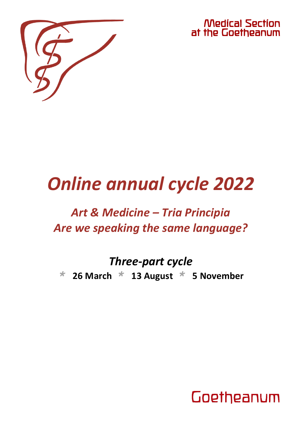

Medical Section at the Goetheanum

# *Online annual cycle 2022*

## *Art & Medicine – Tria Principia Are we speaking the same language?*

# *Three-part cycle*

*\** **26 March** *\** **13 August** *\** **5 November**

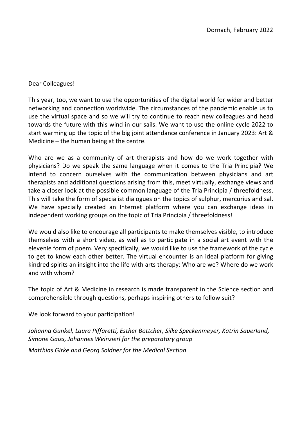#### Dear Colleagues!

This year, too, we want to use the opportunities of the digital world for wider and better networking and connection worldwide. The circumstances of the pandemic enable us to use the virtual space and so we will try to continue to reach new colleagues and head towards the future with this wind in our sails. We want to use the online cycle 2022 to start warming up the topic of the big joint attendance conference in January 2023: Art & Medicine – the human being at the centre.

Who are we as a community of art therapists and how do we work together with physicians? Do we speak the same language when it comes to the Tria Principia? We intend to concern ourselves with the communication between physicians and art therapists and additional questions arising from this, meet virtually, exchange views and take a closer look at the possible common language of the Tria Principia / threefoldness. This will take the form of specialist dialogues on the topics of sulphur, mercurius and sal. We have specially created an Internet platform where you can exchange ideas in independent working groups on the topic of Tria Principia / threefoldness!

We would also like to encourage all participants to make themselves visible, to introduce themselves with a short video, as well as to participate in a social art event with the elevenie form of poem. Very specifically, we would like to use the framework of the cycle to get to know each other better. The virtual encounter is an ideal platform for giving kindred spirits an insight into the life with arts therapy: Who are we? Where do we work and with whom?

The topic of Art & Medicine in research is made transparent in the Science section and comprehensible through questions, perhaps inspiring others to follow suit?

We look forward to your participation!

*Johanna Gunkel, Laura Piffaretti, Esther Böttcher, Silke Speckenmeyer, Katrin Sauerland, Simone Gaiss, Johannes Weinzierl for the preparatory group*

*Matthias Girke and Georg Soldner for the Medical Section*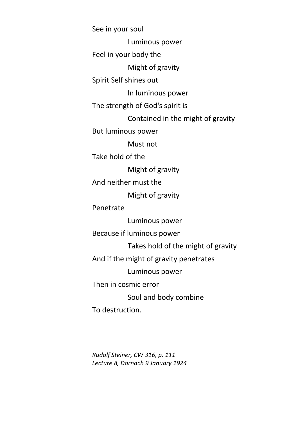See in your soul Luminous power Feel in your body the Might of gravity Spirit Self shines out In luminous power The strength of God's spirit is Contained in the might of gravity But luminous power Must not Take hold of the Might of gravity And neither must the Might of gravity Penetrate Luminous power Because if luminous power Takes hold of the might of gravity And if the might of gravity penetrates Luminous power Then in cosmic error Soul and body combine To destruction.

*Rudolf Steiner, CW 316, p. 111 Lecture 8, Dornach 9 January 1924*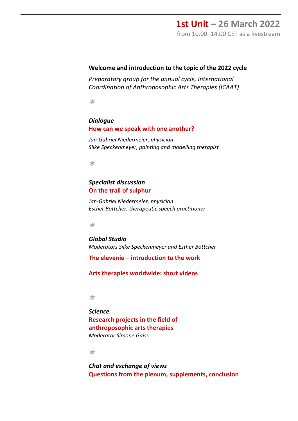### **1st Unit – 26 March 2022**

from 10.00–14.00 CET as a livestream

#### **Welcome and introduction to the topic of the 2022 cycle**

*Preparatory group for the annual cycle, International Coordination of Anthroposophic Arts Therapies (ICAAT)*

*\**

#### *Dialogue* **How can we speak with one another?**

*Jan-Gabriel Niedermeier, physician Silke Speckenmeyer, painting and modelling therapist*

*\**

#### *Specialist discussion* **On the trail of sulphur**

*Jan-Gabriel Niedermeier, physician Esther Böttcher, therapeutic speech practitioner*

*\**

*Global Studio Moderators Silke Speckenmeyer and Esther Böttcher*

**The elevenie – introduction to the work**

**Arts therapies worldwide: short videos**

*\**

*Science* **Research projects in the field of anthroposophic arts therapies** *Moderator Simone Gaiss*

*\**

*Chat and exchange of views* **Questions from the plenum, supplements, conclusion**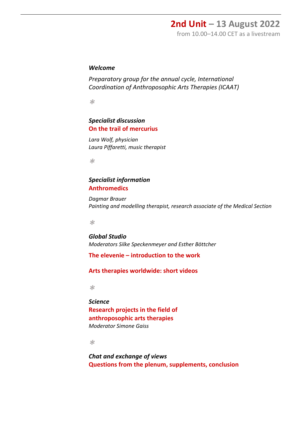### **2nd Unit – 13 August 2022**

from 10.00–14.00 CET as a livestream

#### *Welcome*

*Preparatory group for the annual cycle, International Coordination of Anthroposophic Arts Therapies (ICAAT)*

*\**

#### *Specialist discussion* **On the trail of mercurius**

*Lara Wolf, physician Laura Piffaretti, music therapist*

*\**

#### *Specialist information* **Anthromedics**

*Dagmar Brauer Painting and modelling therapist, research associate of the Medical Section*

*\**

*Global Studio Moderators Silke Speckenmeyer and Esther Böttcher*

**The elevenie – introduction to the work**

**Arts therapies worldwide: short videos**

*\**

*Science* **Research projects in the field of anthroposophic arts therapies** *Moderator Simone Gaiss*

*\**

*Chat and exchange of views* **Questions from the plenum, supplements, conclusion**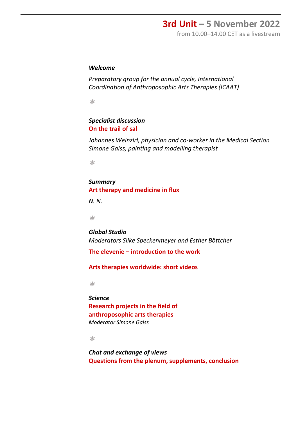### **3rd Unit – 5 November 2022**

from 10.00–14.00 CET as a livestream

#### *Welcome*

*Preparatory group for the annual cycle, International Coordination of Anthroposophic Arts Therapies (ICAAT)*

*\**

#### *Specialist discussion* **On the trail of sal**

*Johannes Weinzirl, physician and co-worker in the Medical Section Simone Gaiss, painting and modelling therapist*

*\**

#### *Summary* **Art therapy and medicine in flux**

*N. N.*

*\**

*Global Studio Moderators Silke Speckenmeyer and Esther Böttcher*

**The elevenie – introduction to the work**

**Arts therapies worldwide: short videos**

*\**

*Science* **Research projects in the field of anthroposophic arts therapies** *Moderator Simone Gaiss*

*\**

*Chat and exchange of views* **Questions from the plenum, supplements, conclusion**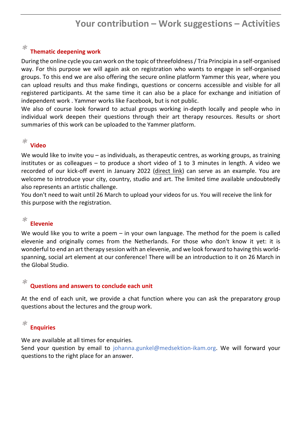### **Your contribution – Work suggestions – Activities**

### *\** **Thematic deepening work**

During the online cycle you can work on the topic of threefoldness/ Tria Principia in a self-organised way. For this purpose we will again ask on registration who wants to engage in self-organised groups. To this end we are also offering the secure online platform Yammer this year, where you can upload results and thus make findings, questions or concerns accessible and visible for all registered participants. At the same time it can also be a place for exchange and initiation of independent work . Yammer works like Facebook, but is not public.

We also of course look forward to actual groups working in-depth locally and people who in individual work deepen their questions through their art therapy resources. Results or short summaries of this work can be uploaded to the Yammer platform.

### *\** **Video**

We would like to invite you – as individuals, as therapeutic centres, as working groups, as training institutes or as colleagues – to produce a short video of 1 to 3 minutes in length. A video we recorded of our kick-off event in January 2022 [\(direct](https://medsektion-goetheanum.org/fileadmin/user_upload/video/Online-Zyklus-Vorstellung.mp4) link) can serve as an example. You are welcome to introduce your city, country, studio and art. The limited time available undoubtedly also represents an artistic challenge.

You don't need to wait until 26 March to upload your videos for us. You will receive the link for this purpose with the registration.

### *\** **Elevenie**

We would like you to write a poem – in your own language. The method for the poem is called elevenie and originally comes from the Netherlands. For those who don't know it yet: it is wonderful to end an art therapy session with an elevenie, and we look forward to having this worldspanning, social art element at our conference! There will be an introduction to it on 26 March in the Global Studio.

### *\** **Questions and answers to conclude each unit**

At the end of each unit, we provide a chat function where you can ask the preparatory group questions about the lectures and the group work.

#### *\** **Enquiries**

We are available at all times for enquiries.

Send your question by email to johanna.gunkel@medsektion-ikam.org. We will forward your questions to the right place for an answer.